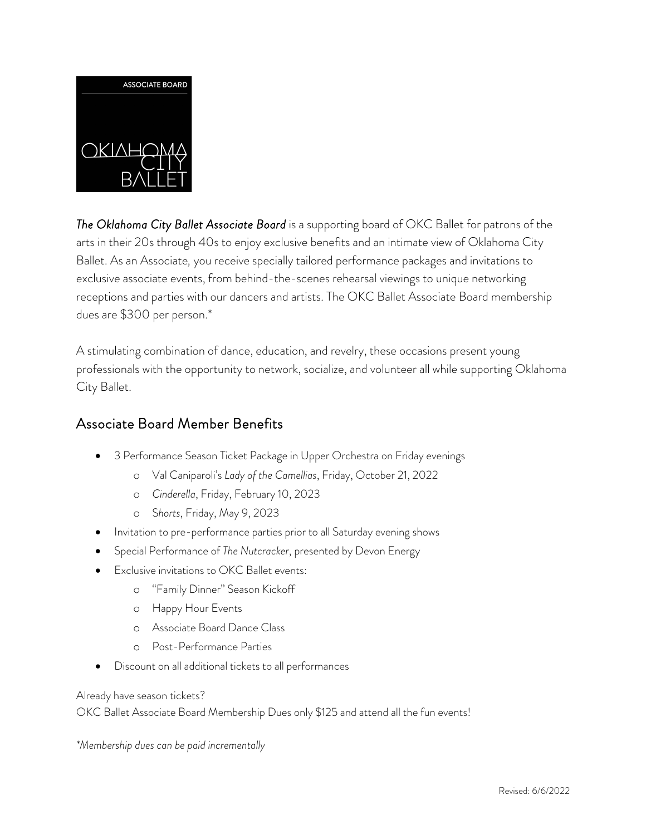

*The Oklahoma City Ballet Associate Board* is a supporting board of OKC Ballet for patrons of the arts in their 20s through 40s to enjoy exclusive benefits and an intimate view of Oklahoma City Ballet. As an Associate*,* you receive specially tailored performance packages and invitations to exclusive associate events, from behind-the-scenes rehearsal viewings to unique networking receptions and parties with our dancers and artists. The OKC Ballet Associate Board membership dues are \$300 per person.\*

A stimulating combination of dance, education, and revelry, these occasions present young professionals with the opportunity to network, socialize, and volunteer all while supporting Oklahoma City Ballet.

## Associate Board Member Benefits

- 3 Performance Season Ticket Package in Upper Orchestra on Friday evenings
	- o Val Caniparoli's *Lady of the Camellias*, Friday, October 21, 2022
	- o *Cinderella*, Friday, February 10, 2023
	- o S*horts*, Friday, May 9, 2023
- Invitation to pre-performance parties prior to all Saturday evening shows
- Special Performance of *The Nutcracker*, presented by Devon Energy
- **Exclusive invitations to OKC Ballet events:** 
	- o "Family Dinner" Season Kickoff
	- o Happy Hour Events
	- o Associate Board Dance Class
	- o Post-Performance Parties
- Discount on all additional tickets to all performances

Already have season tickets?

OKC Ballet Associate Board Membership Dues only \$125 and attend all the fun events!

*\*Membership dues can be paid incrementally*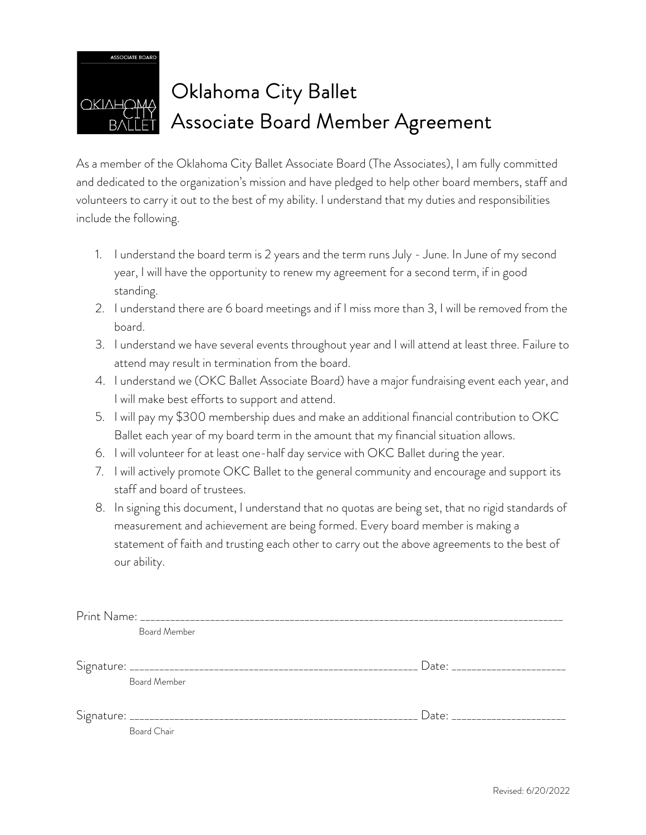

## OKIAHOMA Oklahoma City Ballet Associate Board Member Agreement

As a member of the Oklahoma City Ballet Associate Board (The Associates), I am fully committed and dedicated to the organization's mission and have pledged to help other board members, staff and volunteers to carry it out to the best of my ability. I understand that my duties and responsibilities include the following.

- 1. I understand the board term is 2 years and the term runs July June. In June of my second year, I will have the opportunity to renew my agreement for a second term, if in good standing.
- 2. I understand there are 6 board meetings and if I miss more than 3, I will be removed from the board.
- 3. I understand we have several events throughout year and I will attend at least three. Failure to attend may result in termination from the board.
- 4. I understand we (OKC Ballet Associate Board) have a major fundraising event each year, and I will make best efforts to support and attend.
- 5. I will pay my \$300 membership dues and make an additional financial contribution to OKC Ballet each year of my board term in the amount that my financial situation allows.
- 6. I will volunteer for at least one-half day service with OKC Ballet during the year.
- 7. I will actively promote OKC Ballet to the general community and encourage and support its staff and board of trustees.
- 8. In signing this document, I understand that no quotas are being set, that no rigid standards of measurement and achievement are being formed. Every board member is making a statement of faith and trusting each other to carry out the above agreements to the best of our ability.

|  | Board Member |                                |
|--|--------------|--------------------------------|
|  |              |                                |
|  |              | Date: ________________________ |
|  | Board Member |                                |
|  |              |                                |
|  |              | Date: _______________________  |
|  | Board Chair  |                                |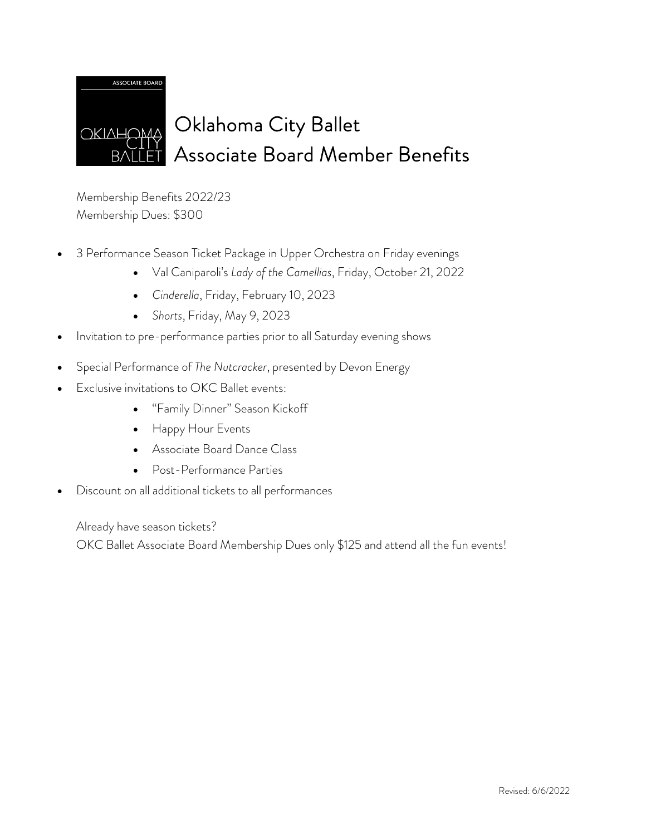

## Oklahoma City Ballet Associate Board Member Benefits

Membership Benefits 2022/23 Membership Dues: \$300

- 3 Performance Season Ticket Package in Upper Orchestra on Friday evenings
	- Val Caniparoli's *Lady of the Camellias*, Friday, October 21, 2022
	- *Cinderella*, Friday, February 10, 2023
	- *Shorts*, Friday, May 9, 2023
- Invitation to pre-performance parties prior to all Saturday evening shows
- Special Performance of *The Nutcracker*, presented by Devon Energy
- Exclusive invitations to OKC Ballet events:
	- "Family Dinner" Season Kickoff
	- Happy Hour Events
	- Associate Board Dance Class
	- Post-Performance Parties
- Discount on all additional tickets to all performances

Already have season tickets?

OKC Ballet Associate Board Membership Dues only \$125 and attend all the fun events!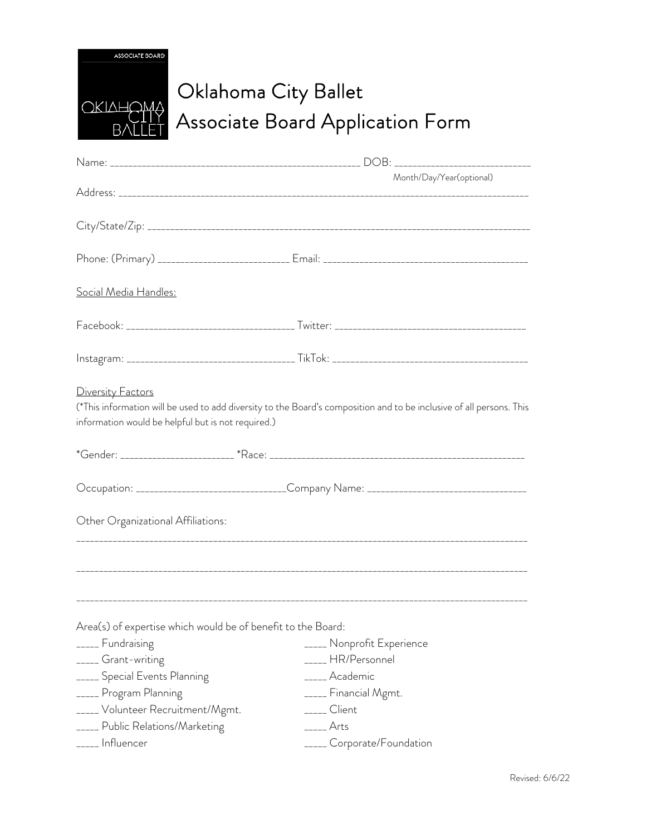| <b>ASSOCIATE BOARD</b> |
|------------------------|
|                        |
|                        |
| ОКІЛНОМ<br>Δ           |
|                        |
|                        |

## Oklahoma City Ballet Associate Board Application Form

|                                                                         | Month/Day/Year(optional)                                                                                             |
|-------------------------------------------------------------------------|----------------------------------------------------------------------------------------------------------------------|
|                                                                         |                                                                                                                      |
|                                                                         |                                                                                                                      |
|                                                                         |                                                                                                                      |
|                                                                         |                                                                                                                      |
| <u> Social Media Handles:</u>                                           |                                                                                                                      |
|                                                                         |                                                                                                                      |
|                                                                         |                                                                                                                      |
| Diversity Factors<br>information would be helpful but is not required.) | (*This information will be used to add diversity to the Board's composition and to be inclusive of all persons. This |
|                                                                         |                                                                                                                      |
|                                                                         |                                                                                                                      |
| Other Organizational Affiliations:                                      |                                                                                                                      |
|                                                                         |                                                                                                                      |
| Area(s) of expertise which would be of benefit to the Board:            |                                                                                                                      |
| _____ Fundraising                                                       | _____ Nonprofit Experience                                                                                           |
| _____ Grant-writing                                                     | ____ HR/Personnel                                                                                                    |
| _____ Special Events Planning                                           | _____ Academic                                                                                                       |
| _____ Program Planning                                                  | _____ Financial Mgmt.                                                                                                |
| _____ Volunteer Recruitment/Mgmt.                                       | _____ Client                                                                                                         |
| _____ Public Relations/Marketing                                        | ____ Arts                                                                                                            |
| _____ Influencer                                                        | _____ Corporate/Foundation                                                                                           |